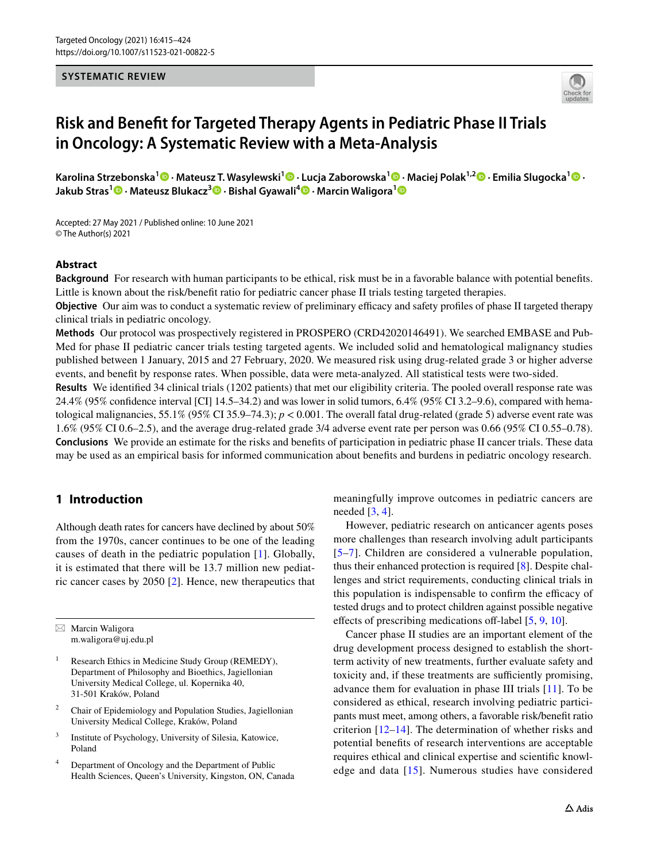# **SYSTEMATIC REVIEW**



# **Risk and Beneft for Targeted Therapy Agents in Pediatric Phase II Trials in Oncology: A Systematic Review with a Meta‑Analysis**

**Karolina Strzebonska<sup>1</sup> · Mateusz T. Wasylewski<sup>1</sup> · Lucja Zaborowska1 · Maciej Polak1,2  [·](http://orcid.org/0000-0003-1290-8692) Emilia Slugocka[1](http://orcid.org/0000-0001-5355-577X) · Jakub Stras1  [·](http://orcid.org/0000-0002-0468-9293) Mateusz Blukacz<sup>3</sup> · Bishal Gyawali4 · Marcin Waligora[1](http://orcid.org/0000-0002-1553-1416)**

Accepted: 27 May 2021 / Published online: 10 June 2021 © The Author(s) 2021

## **Abstract**

**Background** For research with human participants to be ethical, risk must be in a favorable balance with potential benefts. Little is known about the risk/beneft ratio for pediatric cancer phase II trials testing targeted therapies.

**Objective** Our aim was to conduct a systematic review of preliminary efficacy and safety profiles of phase II targeted therapy clinical trials in pediatric oncology.

**Methods** Our protocol was prospectively registered in PROSPERO (CRD42020146491). We searched EMBASE and Pub-Med for phase II pediatric cancer trials testing targeted agents. We included solid and hematological malignancy studies published between 1 January, 2015 and 27 February, 2020. We measured risk using drug-related grade 3 or higher adverse events, and beneft by response rates. When possible, data were meta-analyzed. All statistical tests were two-sided.

**Results** We identifed 34 clinical trials (1202 patients) that met our eligibility criteria. The pooled overall response rate was 24.4% (95% confdence interval [CI] 14.5–34.2) and was lower in solid tumors, 6.4% (95% CI 3.2–9.6), compared with hematological malignancies,  $55.1\%$  (95% CI 35.9–74.3);  $p < 0.001$ . The overall fatal drug-related (grade 5) adverse event rate was 1.6% (95% CI 0.6–2.5), and the average drug-related grade 3/4 adverse event rate per person was 0.66 (95% CI 0.55–0.78). **Conclusions** We provide an estimate for the risks and benefts of participation in pediatric phase II cancer trials. These data may be used as an empirical basis for informed communication about benefts and burdens in pediatric oncology research.

# **1 Introduction**

Although death rates for cancers have declined by about 50% from the 1970s, cancer continues to be one of the leading causes of death in the pediatric population [[1\]](#page-7-0). Globally, it is estimated that there will be 13.7 million new pediatric cancer cases by 2050 [\[2](#page-8-0)]. Hence, new therapeutics that

 $\boxtimes$  Marcin Waligora m.waligora@uj.edu.pl

- <sup>1</sup> Research Ethics in Medicine Study Group (REMEDY), Department of Philosophy and Bioethics, Jagiellonian University Medical College, ul. Kopernika 40, 31-501 Kraków, Poland
- <sup>2</sup> Chair of Epidemiology and Population Studies, Jagiellonian University Medical College, Kraków, Poland
- <sup>3</sup> Institute of Psychology, University of Silesia, Katowice, Poland
- <sup>4</sup> Department of Oncology and the Department of Public Health Sciences, Queen's University, Kingston, ON, Canada

meaningfully improve outcomes in pediatric cancers are needed [[3,](#page-8-1) [4\]](#page-8-2).

However, pediatric research on anticancer agents poses more challenges than research involving adult participants [[5–](#page-8-3)[7](#page-8-4)]. Children are considered a vulnerable population, thus their enhanced protection is required [[8\]](#page-8-5). Despite challenges and strict requirements, conducting clinical trials in this population is indispensable to confirm the efficacy of tested drugs and to protect children against possible negative effects of prescribing medications off-label  $[5, 9, 10]$  $[5, 9, 10]$  $[5, 9, 10]$  $[5, 9, 10]$  $[5, 9, 10]$  $[5, 9, 10]$ .

Cancer phase II studies are an important element of the drug development process designed to establish the shortterm activity of new treatments, further evaluate safety and toxicity and, if these treatments are sufficiently promising, advance them for evaluation in phase III trials [[11](#page-8-8)]. To be considered as ethical, research involving pediatric participants must meet, among others, a favorable risk/beneft ratio criterion [\[12–](#page-8-9)[14\]](#page-8-10). The determination of whether risks and potential benefts of research interventions are acceptable requires ethical and clinical expertise and scientifc knowledge and data [[15](#page-8-11)]. Numerous studies have considered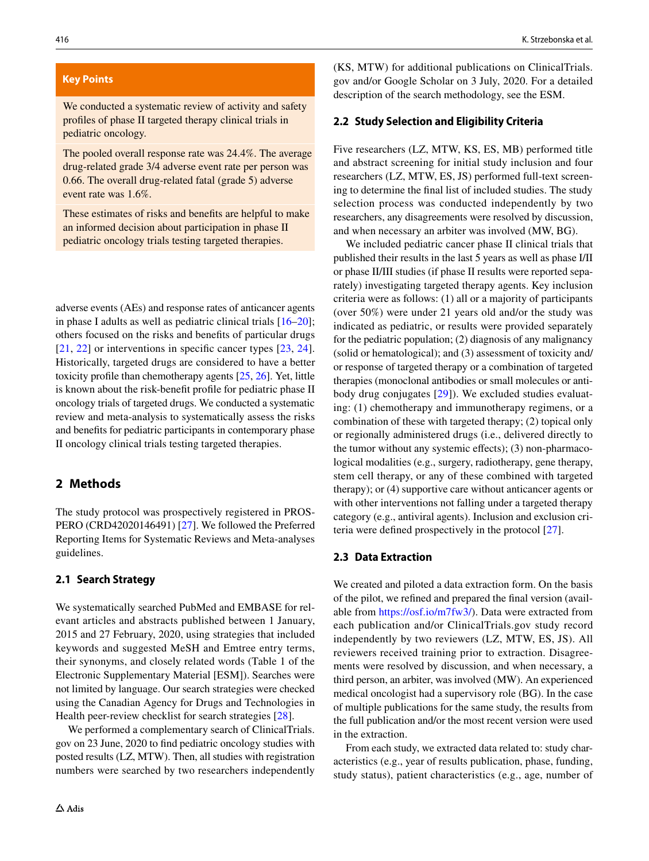## **Key Points**

We conducted a systematic review of activity and safety profles of phase II targeted therapy clinical trials in pediatric oncology.

The pooled overall response rate was 24.4%. The average drug-related grade 3/4 adverse event rate per person was 0.66. The overall drug-related fatal (grade 5) adverse event rate was 1.6%.

These estimates of risks and benefts are helpful to make an informed decision about participation in phase II pediatric oncology trials testing targeted therapies.

adverse events (AEs) and response rates of anticancer agents in phase I adults as well as pediatric clinical trials [[16–](#page-8-14)[20\]](#page-8-15); others focused on the risks and benefts of particular drugs [\[21,](#page-8-16) [22](#page-8-17)] or interventions in specific cancer types [\[23](#page-8-18), [24](#page-8-19)]. Historically, targeted drugs are considered to have a better toxicity profle than chemotherapy agents [[25,](#page-8-20) [26\]](#page-8-21). Yet, little is known about the risk-beneft profle for pediatric phase II oncology trials of targeted drugs. We conducted a systematic review and meta-analysis to systematically assess the risks and benefts for pediatric participants in contemporary phase II oncology clinical trials testing targeted therapies.

# **2 Methods**

The study protocol was prospectively registered in PROS-PERO (CRD42020146491) [[27\]](#page-8-13). We followed the Preferred Reporting Items for Systematic Reviews and Meta-analyses guidelines.

# **2.1 Search Strategy**

We systematically searched PubMed and EMBASE for relevant articles and abstracts published between 1 January, 2015 and 27 February, 2020, using strategies that included keywords and suggested MeSH and Emtree entry terms, their synonyms, and closely related words (Table 1 of the Electronic Supplementary Material [ESM]). Searches were not limited by language. Our search strategies were checked using the Canadian Agency for Drugs and Technologies in Health peer-review checklist for search strategies [\[28\]](#page-8-22).

We performed a complementary search of ClinicalTrials. gov on 23 June, 2020 to fnd pediatric oncology studies with posted results (LZ, MTW). Then, all studies with registration numbers were searched by two researchers independently (KS, MTW) for additional publications on ClinicalTrials. gov and/or Google Scholar on 3 July, 2020. For a detailed description of the search methodology, see the ESM.

#### **2.2 Study Selection and Eligibility Criteria**

Five researchers (LZ, MTW, KS, ES, MB) performed title and abstract screening for initial study inclusion and four researchers (LZ, MTW, ES, JS) performed full-text screening to determine the fnal list of included studies. The study selection process was conducted independently by two researchers, any disagreements were resolved by discussion, and when necessary an arbiter was involved (MW, BG).

We included pediatric cancer phase II clinical trials that published their results in the last 5 years as well as phase I/II or phase II/III studies (if phase II results were reported separately) investigating targeted therapy agents. Key inclusion criteria were as follows: (1) all or a majority of participants (over 50%) were under 21 years old and/or the study was indicated as pediatric, or results were provided separately for the pediatric population; (2) diagnosis of any malignancy (solid or hematological); and (3) assessment of toxicity and/ or response of targeted therapy or a combination of targeted therapies (monoclonal antibodies or small molecules or antibody drug conjugates [[29\]](#page-8-12)). We excluded studies evaluating: (1) chemotherapy and immunotherapy regimens, or a combination of these with targeted therapy; (2) topical only or regionally administered drugs (i.e., delivered directly to the tumor without any systemic effects); (3) non-pharmacological modalities (e.g., surgery, radiotherapy, gene therapy, stem cell therapy, or any of these combined with targeted therapy); or (4) supportive care without anticancer agents or with other interventions not falling under a targeted therapy category (e.g., antiviral agents). Inclusion and exclusion criteria were defned prospectively in the protocol [[27\]](#page-8-13).

# **2.3 Data Extraction**

We created and piloted a data extraction form. On the basis of the pilot, we refned and prepared the fnal version (available from [https://osf.io/m7fw3/\)](https://osf.io/m7fw3/). Data were extracted from each publication and/or ClinicalTrials.gov study record independently by two reviewers (LZ, MTW, ES, JS). All reviewers received training prior to extraction. Disagreements were resolved by discussion, and when necessary, a third person, an arbiter, was involved (MW). An experienced medical oncologist had a supervisory role (BG). In the case of multiple publications for the same study, the results from the full publication and/or the most recent version were used in the extraction.

From each study, we extracted data related to: study characteristics (e.g., year of results publication, phase, funding, study status), patient characteristics (e.g., age, number of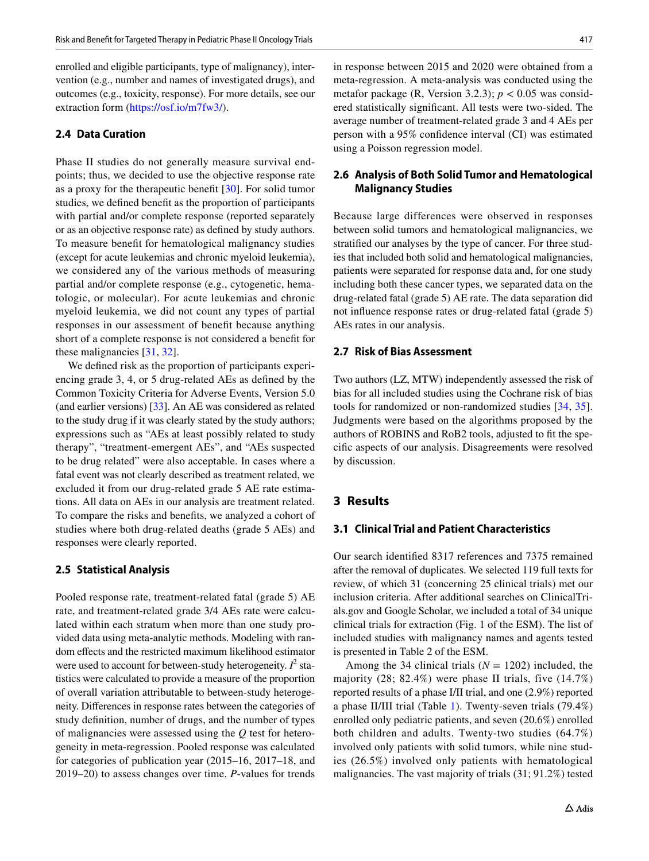enrolled and eligible participants, type of malignancy), intervention (e.g., number and names of investigated drugs), and outcomes (e.g., toxicity, response). For more details, see our extraction form (<https://osf.io/m7fw3/>).

#### **2.4 Data Curation**

Phase II studies do not generally measure survival endpoints; thus, we decided to use the objective response rate as a proxy for the therapeutic beneft [[30\]](#page-8-23). For solid tumor studies, we defned beneft as the proportion of participants with partial and/or complete response (reported separately or as an objective response rate) as defned by study authors. To measure beneft for hematological malignancy studies (except for acute leukemias and chronic myeloid leukemia), we considered any of the various methods of measuring partial and/or complete response (e.g., cytogenetic, hematologic, or molecular). For acute leukemias and chronic myeloid leukemia, we did not count any types of partial responses in our assessment of beneft because anything short of a complete response is not considered a beneft for these malignancies [[31,](#page-8-24) [32\]](#page-8-25).

We defned risk as the proportion of participants experiencing grade 3, 4, or 5 drug-related AEs as defned by the Common Toxicity Criteria for Adverse Events, Version 5.0 (and earlier versions) [[33](#page-8-26)]. An AE was considered as related to the study drug if it was clearly stated by the study authors; expressions such as "AEs at least possibly related to study therapy", "treatment-emergent AEs", and "AEs suspected to be drug related" were also acceptable. In cases where a fatal event was not clearly described as treatment related, we excluded it from our drug-related grade 5 AE rate estimations. All data on AEs in our analysis are treatment related. To compare the risks and benefts, we analyzed a cohort of studies where both drug-related deaths (grade 5 AEs) and responses were clearly reported.

## **2.5 Statistical Analysis**

Pooled response rate, treatment-related fatal (grade 5) AE rate, and treatment-related grade 3/4 AEs rate were calculated within each stratum when more than one study provided data using meta-analytic methods. Modeling with random effects and the restricted maximum likelihood estimator were used to account for between-study heterogeneity.  $I^2$  statistics were calculated to provide a measure of the proportion of overall variation attributable to between-study heterogeneity. Diferences in response rates between the categories of study defnition, number of drugs, and the number of types of malignancies were assessed using the *Q* test for heterogeneity in meta-regression. Pooled response was calculated for categories of publication year (2015–16, 2017–18, and 2019–20) to assess changes over time. *P*-values for trends

in response between 2015 and 2020 were obtained from a meta-regression. A meta-analysis was conducted using the metafor package (R, Version 3.2.3);  $p < 0.05$  was considered statistically signifcant. All tests were two-sided. The average number of treatment-related grade 3 and 4 AEs per person with a 95% confdence interval (CI) was estimated using a Poisson regression model.

# **2.6 Analysis of Both Solid Tumor and Hematological Malignancy Studies**

Because large differences were observed in responses between solid tumors and hematological malignancies, we stratifed our analyses by the type of cancer. For three studies that included both solid and hematological malignancies, patients were separated for response data and, for one study including both these cancer types, we separated data on the drug-related fatal (grade 5) AE rate. The data separation did not infuence response rates or drug-related fatal (grade 5) AEs rates in our analysis.

# **2.7 Risk of Bias Assessment**

Two authors (LZ, MTW) independently assessed the risk of bias for all included studies using the Cochrane risk of bias tools for randomized or non-randomized studies [[34](#page-8-27), [35](#page-9-0)]. Judgments were based on the algorithms proposed by the authors of ROBINS and RoB2 tools, adjusted to ft the specifc aspects of our analysis. Disagreements were resolved by discussion.

# **3 Results**

# **3.1 Clinical Trial and Patient Characteristics**

Our search identifed 8317 references and 7375 remained after the removal of duplicates. We selected 119 full texts for review, of which 31 (concerning 25 clinical trials) met our inclusion criteria. After additional searches on ClinicalTrials.gov and Google Scholar, we included a total of 34 unique clinical trials for extraction (Fig. 1 of the ESM). The list of included studies with malignancy names and agents tested is presented in Table 2 of the ESM.

Among the 34 clinical trials  $(N = 1202)$  included, the majority (28; 82.4%) were phase II trials, five (14.7%) reported results of a phase I/II trial, and one (2.9%) reported a phase II/III trial (Table [1](#page-4-0)). Twenty-seven trials (79.4%) enrolled only pediatric patients, and seven (20.6%) enrolled both children and adults. Twenty-two studies (64.7%) involved only patients with solid tumors, while nine studies (26.5%) involved only patients with hematological malignancies. The vast majority of trials (31; 91.2%) tested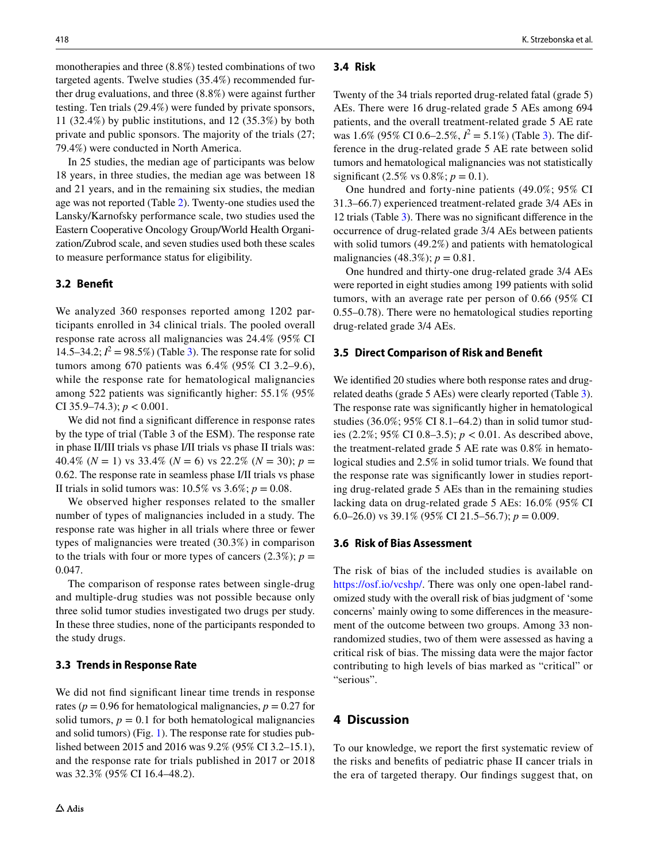monotherapies and three (8.8%) tested combinations of two targeted agents. Twelve studies (35.4%) recommended further drug evaluations, and three (8.8%) were against further testing. Ten trials (29.4%) were funded by private sponsors, 11 (32.4%) by public institutions, and 12 (35.3%) by both private and public sponsors. The majority of the trials (27; 79.4%) were conducted in North America.

In 25 studies, the median age of participants was below 18 years, in three studies, the median age was between 18 and 21 years, and in the remaining six studies, the median age was not reported (Table [2](#page-5-0)). Twenty-one studies used the Lansky/Karnofsky performance scale, two studies used the Eastern Cooperative Oncology Group/World Health Organization/Zubrod scale, and seven studies used both these scales to measure performance status for eligibility.

# **3.2 Beneft**

We analyzed 360 responses reported among 1202 participants enrolled in 34 clinical trials. The pooled overall response rate across all malignancies was 24.4% (95% CI 14.5–34.2;  $I^2 = 98.5\%$ ) (Table [3\)](#page-5-1). The response rate for solid tumors among 670 patients was 6.4% (95% CI 3.2–9.6), while the response rate for hematological malignancies among 522 patients was signifcantly higher: 55.1% (95% CI 35.9–74.3); *p* < 0.001.

We did not fnd a signifcant diference in response rates by the type of trial (Table 3 of the ESM). The response rate in phase II/III trials vs phase I/II trials vs phase II trials was: 40.4% ( $N = 1$ ) vs 33.4% ( $N = 6$ ) vs 22.2% ( $N = 30$ );  $p =$ 0.62. The response rate in seamless phase I/II trials vs phase II trials in solid tumors was:  $10.5\%$  vs  $3.6\%; p = 0.08$ .

We observed higher responses related to the smaller number of types of malignancies included in a study. The response rate was higher in all trials where three or fewer types of malignancies were treated (30.3%) in comparison to the trials with four or more types of cancers  $(2.3\%)$ ;  $p =$ 0.047.

The comparison of response rates between single-drug and multiple-drug studies was not possible because only three solid tumor studies investigated two drugs per study. In these three studies, none of the participants responded to the study drugs.

## **3.3 Trends in Response Rate**

We did not fnd signifcant linear time trends in response rates ( $p = 0.96$  for hematological malignancies,  $p = 0.27$  for solid tumors,  $p = 0.1$  for both hematological malignancies and solid tumors) (Fig. [1](#page-6-0)). The response rate for studies published between 2015 and 2016 was 9.2% (95% CI 3.2–15.1), and the response rate for trials published in 2017 or 2018 was 32.3% (95% CI 16.4–48.2).

### **3.4 Risk**

Twenty of the 34 trials reported drug-related fatal (grade 5) AEs. There were 16 drug-related grade 5 AEs among 694 patients, and the overall treatment-related grade 5 AE rate was  $1.6\%$  (95% CI 0.6–2.5%,  $I^2 = 5.1\%$ ) (Table [3](#page-5-1)). The difference in the drug-related grade 5 AE rate between solid tumors and hematological malignancies was not statistically significant (2.5% vs  $0.8\%$ ;  $p = 0.1$ ).

One hundred and forty-nine patients (49.0%; 95% CI 31.3–66.7) experienced treatment-related grade 3/4 AEs in 12 trials (Table [3](#page-5-1)). There was no signifcant diference in the occurrence of drug-related grade 3/4 AEs between patients with solid tumors (49.2%) and patients with hematological malignancies (48.3%);  $p = 0.81$ .

One hundred and thirty-one drug-related grade 3/4 AEs were reported in eight studies among 199 patients with solid tumors, with an average rate per person of 0.66 (95% CI 0.55–0.78). There were no hematological studies reporting drug-related grade 3/4 AEs.

#### **3.5 Direct Comparison of Risk and Beneft**

We identifed 20 studies where both response rates and drugrelated deaths (grade 5 AEs) were clearly reported (Table [3](#page-5-1)). The response rate was signifcantly higher in hematological studies (36.0%; 95% CI 8.1–64.2) than in solid tumor studies (2.2%; 95% CI 0.8–3.5); *p* < 0.01. As described above, the treatment-related grade 5 AE rate was 0.8% in hematological studies and 2.5% in solid tumor trials. We found that the response rate was signifcantly lower in studies reporting drug-related grade 5 AEs than in the remaining studies lacking data on drug-related grade 5 AEs: 16.0% (95% CI 6.0–26.0) vs 39.1% (95% CI 21.5–56.7); *p* = 0.009.

#### **3.6 Risk of Bias Assessment**

The risk of bias of the included studies is available on <https://osf.io/vcshp/>. There was only one open-label randomized study with the overall risk of bias judgment of 'some concerns' mainly owing to some diferences in the measurement of the outcome between two groups. Among 33 nonrandomized studies, two of them were assessed as having a critical risk of bias. The missing data were the major factor contributing to high levels of bias marked as "critical" or "serious".

# **4 Discussion**

To our knowledge, we report the frst systematic review of the risks and benefts of pediatric phase II cancer trials in the era of targeted therapy. Our fndings suggest that, on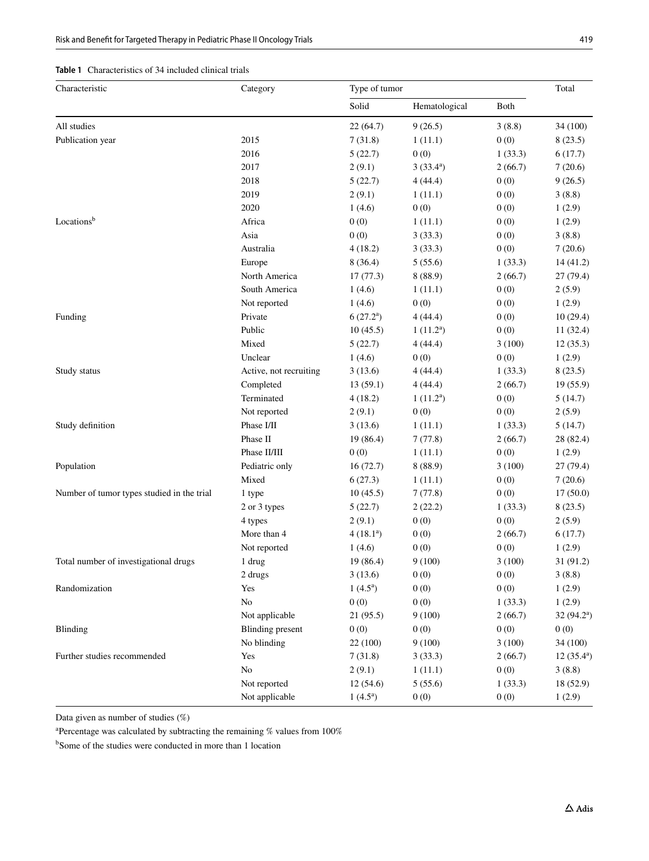# <span id="page-4-0"></span>**Table 1** Characteristics of 34 included clinical trials

| Characteristic                             | Category                | Type of tumor |               |         | Total              |
|--------------------------------------------|-------------------------|---------------|---------------|---------|--------------------|
|                                            |                         | Solid         | Hematological | Both    |                    |
| All studies                                |                         | 22(64.7)      | 9(26.5)       | 3(8.8)  | 34 (100)           |
| Publication year                           | 2015                    | 7(31.8)       | 1(11.1)       | 0(0)    | 8(23.5)            |
|                                            | 2016                    | 5(22.7)       | 0(0)          | 1(33.3) | 6(17.7)            |
|                                            | 2017                    | 2(9.1)        | $3(33.4^a)$   | 2(66.7) | 7(20.6)            |
|                                            | 2018                    | 5(22.7)       | 4(44.4)       | 0(0)    | 9(26.5)            |
|                                            | 2019                    | 2(9.1)        | 1(11.1)       | 0(0)    | 3(8.8)             |
|                                            | 2020                    | 1(4.6)        | 0(0)          | 0(0)    | 1(2.9)             |
| Locationsb                                 | Africa                  | 0(0)          | 1(11.1)       | 0(0)    | 1(2.9)             |
|                                            | Asia                    | 0(0)          | 3(33.3)       | 0(0)    | 3(8.8)             |
|                                            | Australia               | 4(18.2)       | 3(33.3)       | 0(0)    | 7(20.6)            |
|                                            | Europe                  | 8(36.4)       | 5(55.6)       | 1(33.3) | 14(41.2)           |
|                                            | North America           | 17(77.3)      | 8(88.9)       | 2(66.7) | 27(79.4)           |
|                                            | South America           | 1(4.6)        | 1(11.1)       | 0(0)    | 2(5.9)             |
|                                            | Not reported            | 1(4.6)        | 0(0)          | 0(0)    | 1(2.9)             |
| Funding                                    | Private                 | $6(27.2^a)$   | 4(44.4)       | 0(0)    | 10(29.4)           |
|                                            | Public                  | 10(45.5)      | $1(11.2^a)$   | 0(0)    | 11(32.4)           |
|                                            | Mixed                   | 5(22.7)       | 4(44.4)       | 3(100)  | 12(35.3)           |
|                                            | Unclear                 | 1(4.6)        | 0(0)          | 0(0)    | 1(2.9)             |
| Study status                               | Active, not recruiting  | 3(13.6)       | 4(44.4)       | 1(33.3) | 8(23.5)            |
|                                            | Completed               | 13(59.1)      | 4(44.4)       | 2(66.7) | 19(55.9)           |
|                                            | Terminated              | 4(18.2)       | $1(11.2^a)$   | 0(0)    | 5(14.7)            |
|                                            | Not reported            | 2(9.1)        | 0(0)          | 0(0)    | 2(5.9)             |
| Study definition                           | Phase I/II              | 3(13.6)       | 1(11.1)       | 1(33.3) | 5(14.7)            |
|                                            | Phase II                | 19 (86.4)     | 7(77.8)       | 2(66.7) | 28 (82.4)          |
|                                            | Phase II/III            | 0(0)          | 1(11.1)       | 0(0)    | 1(2.9)             |
| Population                                 | Pediatric only          | 16(72.7)      | 8(88.9)       | 3(100)  | 27 (79.4)          |
|                                            | Mixed                   | 6(27.3)       | 1(11.1)       | 0(0)    | 7(20.6)            |
| Number of tumor types studied in the trial | 1 type                  | 10(45.5)      | 7(77.8)       | 0(0)    | 17(50.0)           |
|                                            | 2 or 3 types            | 5(22.7)       | 2(22.2)       | 1(33.3) | 8(23.5)            |
|                                            | 4 types                 | 2(9.1)        | 0(0)          | 0(0)    | 2(5.9)             |
|                                            | More than 4             | $4(18.1^a)$   | 0(0)          | 2(66.7) | 6(17.7)            |
|                                            | Not reported            | 1(4.6)        | 0(0)          | 0(0)    | 1(2.9)             |
| Total number of investigational drugs      | 1 drug                  | 19 (86.4)     | 9(100)        | 3(100)  | 31(91.2)           |
|                                            | 2 drugs                 | 3(13.6)       | 0(0)          | 0(0)    | 3(8.8)             |
| Randomization                              | Yes                     | $1(4.5^a)$    | 0(0)          | 0(0)    | 1(2.9)             |
|                                            | N <sub>o</sub>          | 0(0)          | 0(0)          | 1(33.3) | 1(2.9)             |
|                                            | Not applicable          | 21 (95.5)     | 9(100)        | 2(66.7) | $32(94.2^a)$       |
| <b>Blinding</b>                            | <b>Blinding</b> present | 0(0)          | 0(0)          | 0(0)    | 0(0)               |
|                                            | No blinding             | 22 (100)      | 9(100)        | 3(100)  | 34 (100)           |
| Further studies recommended                | Yes                     | 7(31.8)       | 3(33.3)       | 2(66.7) | $12(35.4^{\circ})$ |
|                                            | No                      | 2(9.1)        | 1(11.1)       | 0(0)    | 3(8.8)             |
|                                            | Not reported            | 12(54.6)      | 5(55.6)       | 1(33.3) | 18 (52.9)          |
|                                            | Not applicable          |               |               |         |                    |
|                                            |                         | $1(4.5^a)$    | 0(0)          | 0(0)    | 1(2.9)             |

Data given as number of studies (%)

a Percentage was calculated by subtracting the remaining % values from 100%

<sup>b</sup>Some of the studies were conducted in more than 1 location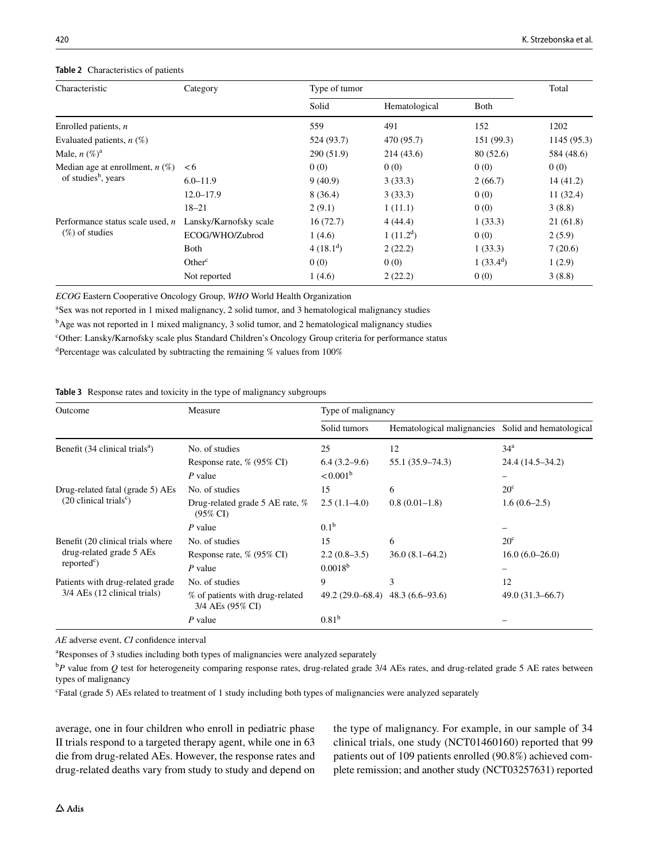## <span id="page-5-0"></span>**Table 2** Characteristics of patients

| Characteristic                                                       | Category               | Type of tumor |               |             |             |
|----------------------------------------------------------------------|------------------------|---------------|---------------|-------------|-------------|
|                                                                      |                        | Solid         | Hematological | Both        |             |
| Enrolled patients, $n$                                               |                        | 559           | 491           | 152         | 1202        |
| Evaluated patients, $n$ (%)                                          |                        | 524 (93.7)    | 470 (95.7)    | 151 (99.3)  | 1145 (95.3) |
| Male, $n (\%)^a$                                                     |                        | 290(51.9)     | 214(43.6)     | 80(52.6)    | 584 (48.6)  |
| Median age at enrollment, $n$ (%)<br>of studies <sup>b</sup> , years | <6                     | 0(0)          | 0(0)          | 0(0)        | 0(0)        |
|                                                                      | $6.0 - 11.9$           | 9(40.9)       | 3(33.3)       | 2(66.7)     | 14(41.2)    |
|                                                                      | $12.0 - 17.9$          | 8(36.4)       | 3(33.3)       | 0(0)        | 11(32.4)    |
|                                                                      | $18 - 21$              | 2(9.1)        | 1(11.1)       | 0(0)        | 3(8.8)      |
| Performance status scale used, $n$<br>$(\%)$ of studies              | Lansky/Karnofsky scale | 16(72.7)      | 4(44.4)       | 1(33.3)     | 21(61.8)    |
|                                                                      | ECOG/WHO/Zubrod        | 1(4.6)        | $1(11.2^d)$   | 0(0)        | 2(5.9)      |
|                                                                      | Both                   | $4(18.1^d)$   | 2(22.2)       | 1(33.3)     | 7(20.6)     |
|                                                                      | Other <sup>c</sup>     | 0(0)          | 0(0)          | $1(33.4^d)$ | 1(2.9)      |
|                                                                      | Not reported           | 1(4.6)        | 2(22.2)       | 0(0)        | 3(8.8)      |

*ECOG* Eastern Cooperative Oncology Group, *WHO* World Health Organization

a Sex was not reported in 1 mixed malignancy, 2 solid tumor, and 3 hematological malignancy studies

<sup>b</sup>Age was not reported in 1 mixed malignancy, 3 solid tumor, and 2 hematological malignancy studies

c Other: Lansky/Karnofsky scale plus Standard Children's Oncology Group criteria for performance status

<sup>d</sup>Percentage was calculated by subtracting the remaining % values from 100%

### <span id="page-5-1"></span>**Table 3** Response rates and toxicity in the type of malignancy subgroups

| Outcome                                                                        | Measure                                                | Type of malignancy |                                                    |                     |  |
|--------------------------------------------------------------------------------|--------------------------------------------------------|--------------------|----------------------------------------------------|---------------------|--|
|                                                                                |                                                        | Solid tumors       | Hematological malignancies Solid and hematological |                     |  |
| Benefit (34 clinical trials <sup>a</sup> )                                     | No. of studies                                         | 25                 | 12                                                 | 34 <sup>a</sup>     |  |
|                                                                                | Response rate, % (95% CI)                              | $6.4(3.2-9.6)$     | $55.1(35.9 - 74.3)$                                | 24.4 (14.5–34.2)    |  |
|                                                                                | $P$ value                                              | $< 0.001^{\rm b}$  |                                                    |                     |  |
| Drug-related fatal (grade 5) AEs<br>$(20 \text{ clinical trials}^{\circ})$     | No. of studies                                         | 15                 | 6                                                  | $20^{\circ}$        |  |
|                                                                                | Drug-related grade 5 AE rate, %<br>$(95\% \text{ CI})$ | $2.5(1.1-4.0)$     | $0.8(0.01-1.8)$                                    | $1.6(0.6-2.5)$      |  |
|                                                                                | $P$ value                                              | 0.1 <sup>b</sup>   |                                                    |                     |  |
| Benefit (20 clinical trials where<br>drug-related grade 5 AEs<br>$reportedc$ ) | No. of studies                                         | 15                 | 6                                                  | 20 <sup>c</sup>     |  |
|                                                                                | Response rate, % (95% CI)                              | $2.2(0.8-3.5)$     | $36.0(8.1-64.2)$                                   | $16.0(6.0-26.0)$    |  |
|                                                                                | $P$ value                                              | $0.0018^{b}$       |                                                    |                     |  |
| Patients with drug-related grade<br>3/4 AEs (12 clinical trials)               | No. of studies                                         | 9                  | 3                                                  | 12                  |  |
|                                                                                | % of patients with drug-related<br>3/4 AEs (95% CI)    | $49.2(29.0-68.4)$  | $48.3(6.6-93.6)$                                   | $49.0(31.3 - 66.7)$ |  |
|                                                                                | $P$ value                                              | 0.81 <sup>b</sup>  |                                                    |                     |  |

*AE* adverse event, *CI* confdence interval

a Responses of 3 studies including both types of malignancies were analyzed separately

<sup>b</sup>P value from Q test for heterogeneity comparing response rates, drug-related grade 3/4 AEs rates, and drug-related grade 5 AE rates between types of malignancy

c Fatal (grade 5) AEs related to treatment of 1 study including both types of malignancies were analyzed separately

average, one in four children who enroll in pediatric phase II trials respond to a targeted therapy agent, while one in 63 die from drug-related AEs. However, the response rates and drug-related deaths vary from study to study and depend on the type of malignancy. For example, in our sample of 34 clinical trials, one study (NCT01460160) reported that 99 patients out of 109 patients enrolled (90.8%) achieved complete remission; and another study (NCT03257631) reported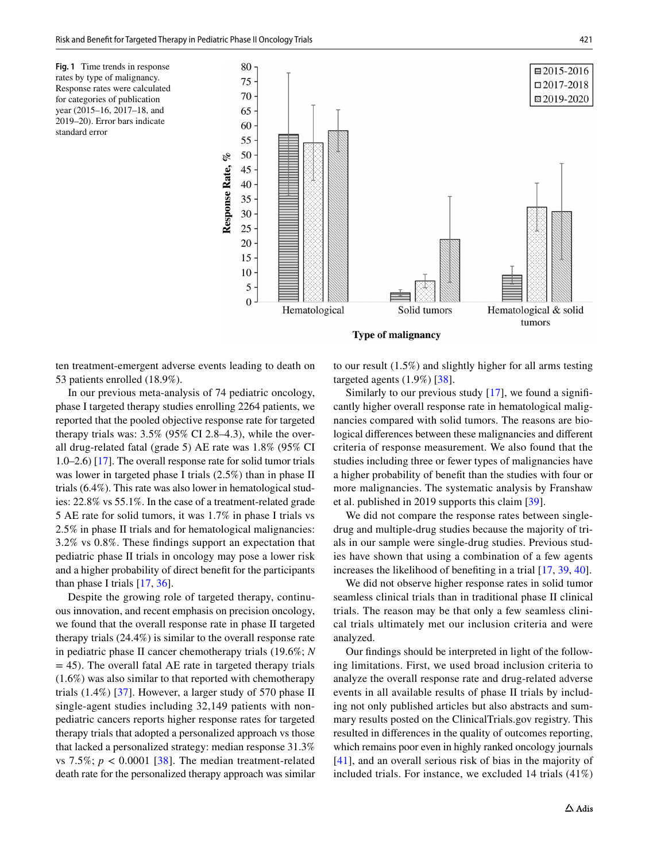<span id="page-6-0"></span>**Fig. 1** Time trends in response rates by type of malignancy. Response rates were calculated for categories of publication year (2015–16, 2017–18, and 2019–20). Error bars indicate standard error



ten treatment-emergent adverse events leading to death on 53 patients enrolled (18.9%).

In our previous meta-analysis of 74 pediatric oncology, phase I targeted therapy studies enrolling 2264 patients, we reported that the pooled objective response rate for targeted therapy trials was: 3.5% (95% CI 2.8–4.3), while the overall drug-related fatal (grade 5) AE rate was 1.8% (95% CI 1.0–2.6) [[17](#page-8-28)]. The overall response rate for solid tumor trials was lower in targeted phase I trials (2.5%) than in phase II trials (6.4%). This rate was also lower in hematological studies: 22.8% vs 55.1%. In the case of a treatment-related grade 5 AE rate for solid tumors, it was 1.7% in phase I trials vs 2.5% in phase II trials and for hematological malignancies: 3.2% vs 0.8%. These fndings support an expectation that pediatric phase II trials in oncology may pose a lower risk and a higher probability of direct beneft for the participants than phase I trials [\[17,](#page-8-28) [36\]](#page-9-1).

Despite the growing role of targeted therapy, continuous innovation, and recent emphasis on precision oncology, we found that the overall response rate in phase II targeted therapy trials (24.4%) is similar to the overall response rate in pediatric phase II cancer chemotherapy trials (19.6%; *N*  $= 45$ ). The overall fatal AE rate in targeted therapy trials (1.6%) was also similar to that reported with chemotherapy trials (1.4%) [[37](#page-9-2)]. However, a larger study of 570 phase II single-agent studies including 32,149 patients with nonpediatric cancers reports higher response rates for targeted therapy trials that adopted a personalized approach vs those that lacked a personalized strategy: median response 31.3% vs 7.5%;  $p < 0.0001$  [[38](#page-9-3)]. The median treatment-related death rate for the personalized therapy approach was similar to our result (1.5%) and slightly higher for all arms testing targeted agents (1.9%) [[38\]](#page-9-3).

Similarly to our previous study  $[17]$ , we found a significantly higher overall response rate in hematological malignancies compared with solid tumors. The reasons are biological diferences between these malignancies and diferent criteria of response measurement. We also found that the studies including three or fewer types of malignancies have a higher probability of beneft than the studies with four or more malignancies. The systematic analysis by Franshaw et al. published in 2019 supports this claim [\[39](#page-9-4)].

We did not compare the response rates between singledrug and multiple-drug studies because the majority of trials in our sample were single-drug studies. Previous studies have shown that using a combination of a few agents increases the likelihood of benefting in a trial [\[17](#page-8-28), [39](#page-9-4), [40](#page-9-5)].

We did not observe higher response rates in solid tumor seamless clinical trials than in traditional phase II clinical trials. The reason may be that only a few seamless clinical trials ultimately met our inclusion criteria and were analyzed.

Our fndings should be interpreted in light of the following limitations. First, we used broad inclusion criteria to analyze the overall response rate and drug-related adverse events in all available results of phase II trials by including not only published articles but also abstracts and summary results posted on the ClinicalTrials.gov registry. This resulted in diferences in the quality of outcomes reporting, which remains poor even in highly ranked oncology journals [[41\]](#page-9-6), and an overall serious risk of bias in the majority of included trials. For instance, we excluded 14 trials (41%)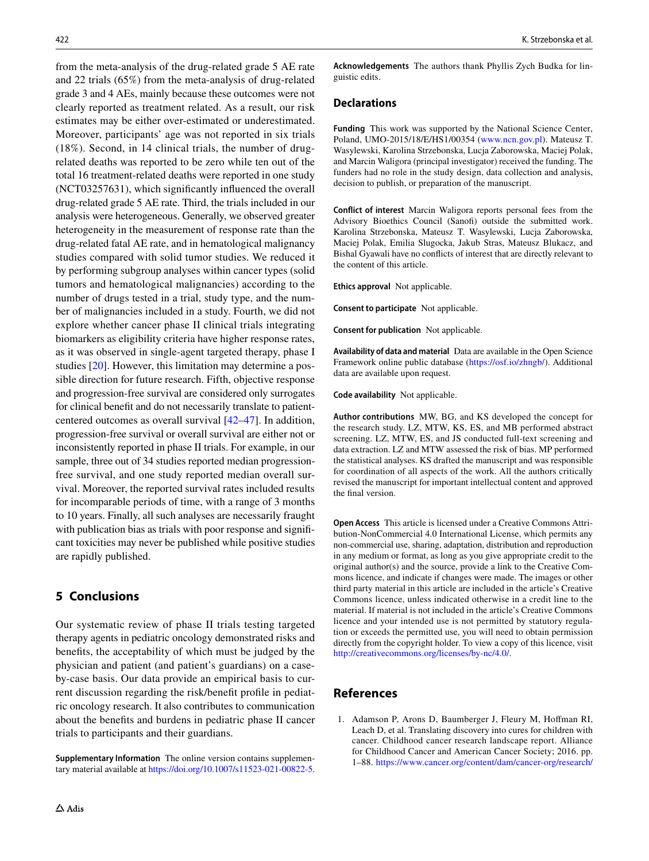from the meta-analysis of the drug-related grade 5 AE rate and 22 trials (65%) from the meta-analysis of drug-related grade 3 and 4 AEs, mainly because these outcomes were not clearly reported as treatment related. As a result, our risk estimates may be either over-estimated or underestimated. Moreover, participants' age was not reported in six trials (18%). Second, in 14 clinical trials, the number of drugrelated deaths was reported to be zero while ten out of the total 16 treatment-related deaths were reported in one study (NCT03257631), which signifcantly infuenced the overall drug-related grade 5 AE rate. Third, the trials included in our analysis were heterogeneous. Generally, we observed greater heterogeneity in the measurement of response rate than the drug-related fatal AE rate, and in hematological malignancy studies compared with solid tumor studies. We reduced it by performing subgroup analyses within cancer types (solid tumors and hematological malignancies) according to the number of drugs tested in a trial, study type, and the number of malignancies included in a study. Fourth, we did not explore whether cancer phase II clinical trials integrating biomarkers as eligibility criteria have higher response rates, as it was observed in single-agent targeted therapy, phase I studies [[20\]](#page-8-15). However, this limitation may determine a possible direction for future research. Fifth, objective response and progression-free survival are considered only surrogates for clinical beneft and do not necessarily translate to patientcentered outcomes as overall survival [[42–](#page-9-7)[47](#page-9-8)]. In addition, progression-free survival or overall survival are either not or inconsistently reported in phase II trials. For example, in our sample, three out of 34 studies reported median progressionfree survival, and one study reported median overall survival. Moreover, the reported survival rates included results for incomparable periods of time, with a range of 3 months to 10 years. Finally, all such analyses are necessarily fraught with publication bias as trials with poor response and significant toxicities may never be published while positive studies are rapidly published.

# **5 Conclusions**

Our systematic review of phase II trials testing targeted therapy agents in pediatric oncology demonstrated risks and benefts, the acceptability of which must be judged by the physician and patient (and patient's guardians) on a caseby-case basis. Our data provide an empirical basis to current discussion regarding the risk/beneft profle in pediatric oncology research. It also contributes to communication about the benefts and burdens in pediatric phase II cancer trials to participants and their guardians.

**Supplementary Information** The online version contains supplementary material available at<https://doi.org/10.1007/s11523-021-00822-5>.

**Acknowledgements** The authors thank Phyllis Zych Budka for linguistic edits.

## **Declarations**

**Funding** This work was supported by the National Science Center, Poland, UMO-2015/18/E/HS1/00354 [\(www.ncn.gov.pl\)](http://www.ncn.gov.pl). Mateusz T. Wasylewski, Karolina Strzebonska, Lucja Zaborowska, Maciej Polak, and Marcin Waligora (principal investigator) received the funding. The funders had no role in the study design, data collection and analysis, decision to publish, or preparation of the manuscript.

**Conflict of interest** Marcin Waligora reports personal fees from the Advisory Bioethics Council (Sanof) outside the submitted work. Karolina Strzebonska, Mateusz T. Wasylewski, Lucja Zaborowska, Maciej Polak, Emilia Slugocka, Jakub Stras, Mateusz Blukacz, and Bishal Gyawali have no conficts of interest that are directly relevant to the content of this article.

**Ethics approval** Not applicable.

**Consent to participate** Not applicable.

**Consent for publication** Not applicable.

**Availability of data and material** Data are available in the Open Science Framework online public database ([https://osf.io/zhngb/\)](https://osf.io/zhngb/). Additional data are available upon request.

**Code availability** Not applicable.

**Author contributions** MW, BG, and KS developed the concept for the research study. LZ, MTW, KS, ES, and MB performed abstract screening. LZ, MTW, ES, and JS conducted full-text screening and data extraction. LZ and MTW assessed the risk of bias. MP performed the statistical analyses. KS drafted the manuscript and was responsible for coordination of all aspects of the work. All the authors critically revised the manuscript for important intellectual content and approved the fnal version.

**Open Access** This article is licensed under a Creative Commons Attribution-NonCommercial 4.0 International License, which permits any non-commercial use, sharing, adaptation, distribution and reproduction in any medium or format, as long as you give appropriate credit to the original author(s) and the source, provide a link to the Creative Commons licence, and indicate if changes were made. The images or other third party material in this article are included in the article's Creative Commons licence, unless indicated otherwise in a credit line to the material. If material is not included in the article's Creative Commons licence and your intended use is not permitted by statutory regulation or exceeds the permitted use, you will need to obtain permission directly from the copyright holder. To view a copy of this licence, visit <http://creativecommons.org/licenses/by-nc/4.0/>.

# **References**

<span id="page-7-0"></span>1. Adamson P, Arons D, Baumberger J, Fleury M, Hofman RI, Leach D, et al. Translating discovery into cures for children with cancer. Childhood cancer research landscape report. Alliance for Childhood Cancer and American Cancer Society; 2016. pp. 1–88. [https://www.cancer.org/content/dam/cancer-org/research/](https://www.cancer.org/content/dam/cancer-org/research/translating-discovery-into-cures-for-children-with-cancer-landscape-report.pdf)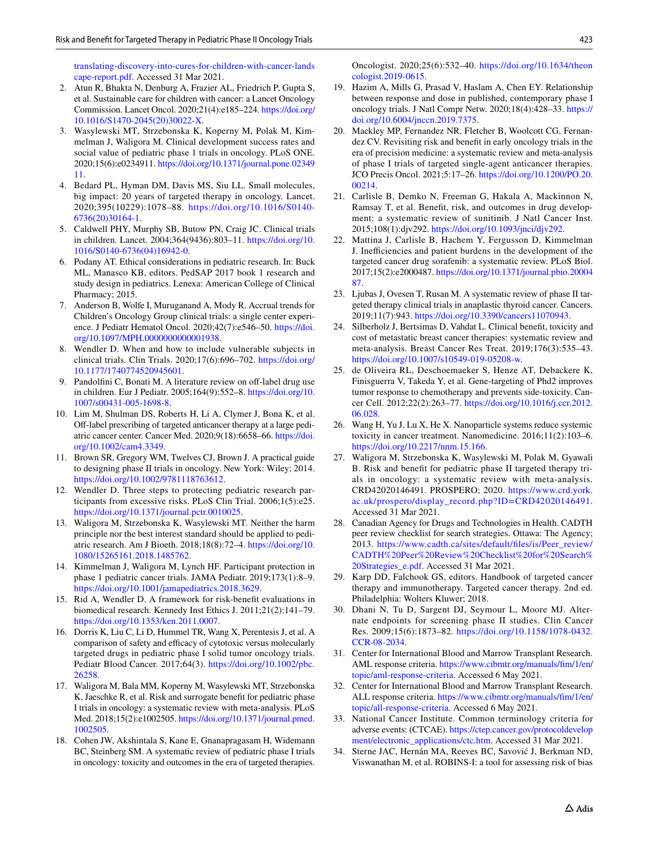[translating-discovery-into-cures-for-children-with-cancer-lands](https://www.cancer.org/content/dam/cancer-org/research/translating-discovery-into-cures-for-children-with-cancer-landscape-report.pdf) [cape-report.pdf](https://www.cancer.org/content/dam/cancer-org/research/translating-discovery-into-cures-for-children-with-cancer-landscape-report.pdf). Accessed 31 Mar 2021.

- <span id="page-8-0"></span>2. Atun R, Bhakta N, Denburg A, Frazier AL, Friedrich P, Gupta S, et al. Sustainable care for children with cancer: a Lancet Oncology Commission. Lancet Oncol. 2020;21(4):e185–224. [https://doi.org/](https://doi.org/10.1016/S1470-2045(20)30022-X) [10.1016/S1470-2045\(20\)30022-X](https://doi.org/10.1016/S1470-2045(20)30022-X).
- <span id="page-8-1"></span>3. Wasylewski MT, Strzebonska K, Koperny M, Polak M, Kimmelman J, Waligora M. Clinical development success rates and social value of pediatric phase 1 trials in oncology. PLoS ONE. 2020;15(6):e0234911. [https://doi.org/10.1371/journal.pone.02349](https://doi.org/10.1371/journal.pone.0234911) [11.](https://doi.org/10.1371/journal.pone.0234911)
- <span id="page-8-2"></span>4. Bedard PL, Hyman DM, Davis MS, Siu LL. Small molecules, big impact: 20 years of targeted therapy in oncology. Lancet. 2020;395(10229):1078–88. [https://doi.org/10.1016/S0140-](https://doi.org/10.1016/S0140-6736(20)30164-1) [6736\(20\)30164-1](https://doi.org/10.1016/S0140-6736(20)30164-1).
- <span id="page-8-3"></span>5. Caldwell PHY, Murphy SB, Butow PN, Craig JC. Clinical trials in children. Lancet. 2004;364(9436):803–11. [https://doi.org/10.](https://doi.org/10.1016/S0140-6736(04)16942-0) [1016/S0140-6736\(04\)16942-0.](https://doi.org/10.1016/S0140-6736(04)16942-0)
- 6. Podany AT. Ethical considerations in pediatric research. In: Buck ML, Manasco KB, editors. PedSAP 2017 book 1 research and study design in pediatrics. Lenexa: American College of Clinical Pharmacy; 2015.
- <span id="page-8-4"></span>7. Anderson B, Wolfe I, Muruganand A, Mody R. Accrual trends for Children's Oncology Group clinical trials: a single center experience. J Pediatr Hematol Oncol. 2020;42(7):e546–50. [https://doi.](https://doi.org/10.1097/MPH.0000000000001938) [org/10.1097/MPH.0000000000001938](https://doi.org/10.1097/MPH.0000000000001938).
- <span id="page-8-5"></span>8. Wendler D. When and how to include vulnerable subjects in clinical trials. Clin Trials. 2020;17(6):696–702. [https://doi.org/](https://doi.org/10.1177/1740774520945601) [10.1177/1740774520945601](https://doi.org/10.1177/1740774520945601).
- <span id="page-8-6"></span>9. Pandolfini C, Bonati M. A literature review on off-label drug use in children. Eur J Pediatr. 2005;164(9):552–8. [https://doi.org/10.](https://doi.org/10.1007/s00431-005-1698-8) [1007/s00431-005-1698-8](https://doi.org/10.1007/s00431-005-1698-8).
- <span id="page-8-7"></span>10. Lim M, Shulman DS, Roberts H, Li A, Clymer J, Bona K, et al. Off-label prescribing of targeted anticancer therapy at a large pediatric cancer center. Cancer Med. 2020;9(18):6658–66. [https://doi.](https://doi.org/10.1002/cam4.3349) [org/10.1002/cam4.3349.](https://doi.org/10.1002/cam4.3349)
- <span id="page-8-8"></span>11. Brown SR, Gregory WM, Twelves CJ, Brown J. A practical guide to designing phase II trials in oncology. New York: Wiley; 2014. [https://doi.org/10.1002/9781118763612.](https://doi.org/10.1002/9781118763612)
- <span id="page-8-9"></span>12. Wendler D. Three steps to protecting pediatric research participants from excessive risks. PLoS Clin Trial. 2006;1(5):e25. <https://doi.org/10.1371/journal.pctr.0010025>.
- 13. Waligora M, Strzebonska K, Wasylewski MT. Neither the harm principle nor the best interest standard should be applied to pediatric research. Am J Bioeth. 2018;18(8):72–4. [https://doi.org/10.](https://doi.org/10.1080/15265161.2018.1485762) [1080/15265161.2018.1485762](https://doi.org/10.1080/15265161.2018.1485762).
- <span id="page-8-10"></span>14. Kimmelman J, Waligora M, Lynch HF. Participant protection in phase 1 pediatric cancer trials. JAMA Pediatr. 2019;173(1):8–9. <https://doi.org/10.1001/jamapediatrics.2018.3629>.
- <span id="page-8-11"></span>15. Rid A, Wendler D. A framework for risk-beneft evaluations in biomedical research. Kennedy Inst Ethics J. 2011;21(2):141–79. <https://doi.org/10.1353/ken.2011.0007>.
- <span id="page-8-14"></span>16. Dorris K, Liu C, Li D, Hummel TR, Wang X, Perentesis J, et al. A comparison of safety and efficacy of cytotoxic versus molecularly targeted drugs in pediatric phase I solid tumor oncology trials. Pediatr Blood Cancer. 2017;64(3). [https://doi.org/10.1002/pbc.](https://doi.org/10.1002/pbc.26258) [26258](https://doi.org/10.1002/pbc.26258).
- <span id="page-8-28"></span>17. Waligora M, Bala MM, Koperny M, Wasylewski MT, Strzebonska K, Jaeschke R, et al. Risk and surrogate beneft for pediatric phase I trials in oncology: a systematic review with meta-analysis. PLoS Med. 2018;15(2):e1002505. [https://doi.org/10.1371/journal.pmed.](https://doi.org/10.1371/journal.pmed.1002505) [1002505](https://doi.org/10.1371/journal.pmed.1002505).
- 18. Cohen JW, Akshintala S, Kane E, Gnanapragasam H, Widemann BC, Steinberg SM. A systematic review of pediatric phase I trials in oncology: toxicity and outcomes in the era of targeted therapies.

Oncologist. 2020;25(6):532–40. [https://doi.org/10.1634/theon](https://doi.org/10.1634/theoncologist.2019-0615) [cologist.2019-0615.](https://doi.org/10.1634/theoncologist.2019-0615)

- 19. Hazim A, Mills G, Prasad V, Haslam A, Chen EY. Relationship between response and dose in published, contemporary phase I oncology trials. J Natl Compr Netw. 2020;18(4):428–33. [https://](https://doi.org/10.6004/jnccn.2019.7375) [doi.org/10.6004/jnccn.2019.7375.](https://doi.org/10.6004/jnccn.2019.7375)
- <span id="page-8-15"></span>20. Mackley MP, Fernandez NR, Fletcher B, Woolcott CG, Fernandez CV. Revisiting risk and beneft in early oncology trials in the era of precision medicine: a systematic review and meta-analysis of phase I trials of targeted single-agent anticancer therapies. JCO Precis Oncol. 2021;5:17–26. [https://doi.org/10.1200/PO.20.](https://doi.org/10.1200/PO.20.00214) [00214.](https://doi.org/10.1200/PO.20.00214)
- <span id="page-8-16"></span>21. Carlisle B, Demko N, Freeman G, Hakala A, Mackinnon N, Ramsay T, et al. Beneft, risk, and outcomes in drug development: a systematic review of sunitinib. J Natl Cancer Inst. 2015;108(1):djv292. [https://doi.org/10.1093/jnci/djv292.](https://doi.org/10.1093/jnci/djv292)
- <span id="page-8-17"></span>22. Mattina J, Carlisle B, Hachem Y, Fergusson D, Kimmelman J. Inefficiencies and patient burdens in the development of the targeted cancer drug sorafenib: a systematic review. PLoS Biol. 2017;15(2):e2000487. [https://doi.org/10.1371/journal.pbio.20004](https://doi.org/10.1371/journal.pbio.2000487) [87.](https://doi.org/10.1371/journal.pbio.2000487)
- <span id="page-8-18"></span>23. Ljubas J, Ovesen T, Rusan M. A systematic review of phase II targeted therapy clinical trials in anaplastic thyroid cancer. Cancers. 2019;11(7):943. <https://doi.org/10.3390/cancers11070943>.
- <span id="page-8-19"></span>24. Silberholz J, Bertsimas D, Vahdat L. Clinical beneft, toxicity and cost of metastatic breast cancer therapies: systematic review and meta-analysis. Breast Cancer Res Treat. 2019;176(3):535–43. [https://doi.org/10.1007/s10549-019-05208-w.](https://doi.org/10.1007/s10549-019-05208-w)
- <span id="page-8-20"></span>25. de Oliveira RL, Deschoemaeker S, Henze AT, Debackere K, Finisguerra V, Takeda Y, et al. Gene-targeting of Phd2 improves tumor response to chemotherapy and prevents side-toxicity. Cancer Cell. 2012;22(2):263–77. [https://doi.org/10.1016/j.ccr.2012.](https://doi.org/10.1016/j.ccr.2012.06.028) [06.028.](https://doi.org/10.1016/j.ccr.2012.06.028)
- <span id="page-8-21"></span>26. Wang H, Yu J, Lu X, He X. Nanoparticle systems reduce systemic toxicity in cancer treatment. Nanomedicine. 2016;11(2):103–6. <https://doi.org/10.2217/nnm.15.166>.
- <span id="page-8-13"></span>27. Waligora M, Strzebonska K, Wasylewski M, Polak M, Gyawali B. Risk and beneft for pediatric phase II targeted therapy trials in oncology: a systematic review with meta-analysis. CRD42020146491. PROSPERO; 2020. [https://www.crd.york.](https://www.crd.york.ac.uk/prospero/display_record.php?ID=CRD42020146491) [ac.uk/prospero/display\\_record.php?ID=CRD42020146491](https://www.crd.york.ac.uk/prospero/display_record.php?ID=CRD42020146491). Accessed 31 Mar 2021.
- <span id="page-8-22"></span>28. Canadian Agency for Drugs and Technologies in Health. CADTH peer review checklist for search strategies. Ottawa: The Agency; 2013. [https://www.cadth.ca/sites/default/fles/is/Peer\\_review/](https://www.cadth.ca/sites/default/files/is/Peer_review/CADTH%20Peer%20Review%20Checklist%20for%20Search%20Strategies_e.pdf) [CADTH%20Peer%20Review%20Checklist%20for%20Search%](https://www.cadth.ca/sites/default/files/is/Peer_review/CADTH%20Peer%20Review%20Checklist%20for%20Search%20Strategies_e.pdf) [20Strategies\\_e.pdf](https://www.cadth.ca/sites/default/files/is/Peer_review/CADTH%20Peer%20Review%20Checklist%20for%20Search%20Strategies_e.pdf). Accessed 31 Mar 2021.
- <span id="page-8-12"></span>29. Karp DD, Falchook GS, editors. Handbook of targeted cancer therapy and immunotherapy. Targeted cancer therapy. 2nd ed. Philadelphia: Wolters Kluwer; 2018.
- <span id="page-8-23"></span>30. Dhani N, Tu D, Sargent DJ, Seymour L, Moore MJ. Alternate endpoints for screening phase II studies. Clin Cancer Res. 2009;15(6):1873–82. [https://doi.org/10.1158/1078-0432.](https://doi.org/10.1158/1078-0432.CCR-08-2034) [CCR-08-2034](https://doi.org/10.1158/1078-0432.CCR-08-2034).
- <span id="page-8-24"></span>31. Center for International Blood and Marrow Transplant Research. AML response criteria. [https://www.cibmtr.org/manuals/fm/1/en/](https://www.cibmtr.org/manuals/fim/1/en/topic/aml-response-criteria) [topic/aml-response-criteria](https://www.cibmtr.org/manuals/fim/1/en/topic/aml-response-criteria). Accessed 6 May 2021.
- <span id="page-8-25"></span>32. Center for International Blood and Marrow Transplant Research. ALL response criteria. [https://www.cibmtr.org/manuals/fm/1/en/](https://www.cibmtr.org/manuals/fim/1/en/topic/all-response-criteria) [topic/all-response-criteria.](https://www.cibmtr.org/manuals/fim/1/en/topic/all-response-criteria) Accessed 6 May 2021.
- <span id="page-8-26"></span>33. National Cancer Institute. Common terminology criteria for adverse events: (CTCAE). [https://ctep.cancer.gov/protocoldevelop](https://ctep.cancer.gov/protocoldevelopment/electronic_applications/ctc.htm) [ment/electronic\\_applications/ctc.htm](https://ctep.cancer.gov/protocoldevelopment/electronic_applications/ctc.htm). Accessed 31 Mar 2021.
- <span id="page-8-27"></span>34. Sterne JAC, Hernán MA, Reeves BC, Savović J, Berkman ND, Viswanathan M, et al. ROBINS-I: a tool for assessing risk of bias